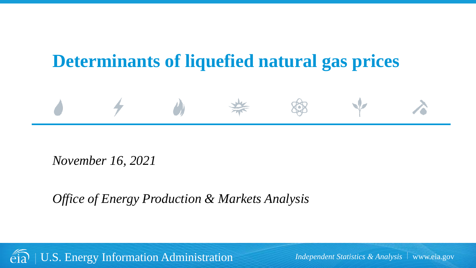# **Determinants of liquefied natural gas prices**



*Office of Energy Production & Markets Analysis*

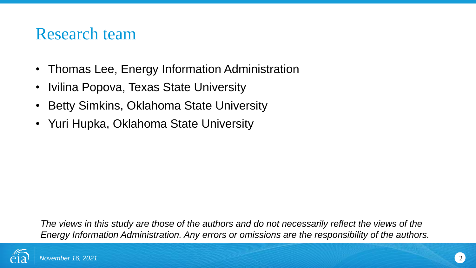## Research team

- Thomas Lee, Energy Information Administration
- Ivilina Popova, Texas State University
- Betty Simkins, Oklahoma State University
- Yuri Hupka, Oklahoma State University

*The views in this study are those of the authors and do not necessarily reflect the views of the Energy Information Administration. Any errors or omissions are the responsibility of the authors.*

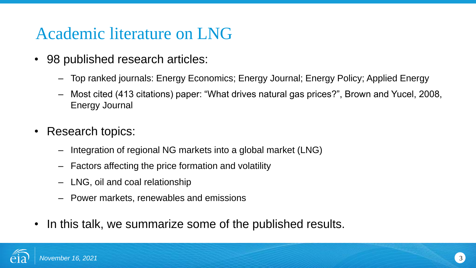# Academic literature on LNG

- 98 published research articles:
	- Top ranked journals: Energy Economics; Energy Journal; Energy Policy; Applied Energy
	- Most cited (413 citations) paper: "What drives natural gas prices?", Brown and Yucel, 2008, Energy Journal
- Research topics:
	- Integration of regional NG markets into a global market (LNG)
	- Factors affecting the price formation and volatility
	- LNG, oil and coal relationship
	- Power markets, renewables and emissions
- In this talk, we summarize some of the published results.

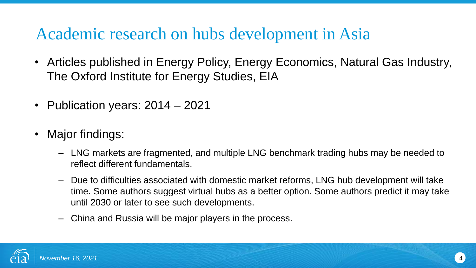# Academic research on hubs development in Asia

- Articles published in Energy Policy, Energy Economics, Natural Gas Industry, The Oxford Institute for Energy Studies, EIA
- Publication years: 2014 2021
- Major findings:
	- LNG markets are fragmented, and multiple LNG benchmark trading hubs may be needed to reflect different fundamentals.
	- Due to difficulties associated with domestic market reforms, LNG hub development will take time. Some authors suggest virtual hubs as a better option. Some authors predict it may take until 2030 or later to see such developments.
	- China and Russia will be major players in the process.

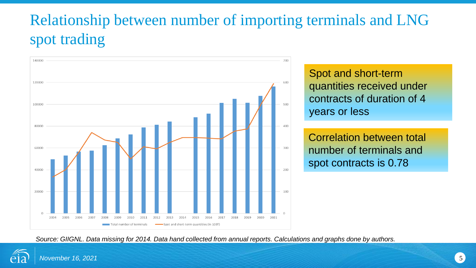# Relationship between number of importing terminals and LNG spot trading



Spot and short-term quantities received under contracts of duration of 4 years or less

Correlation between total number of terminals and spot contracts is 0.78

*Source: GIIGNL. Data missing for 2014. Data hand collected from annual reports. Calculations and graphs done by authors.*

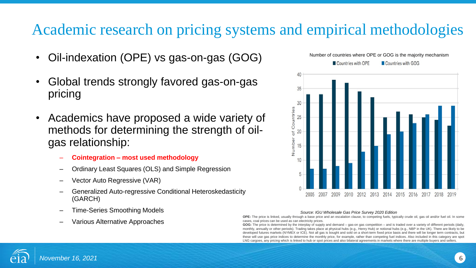## Academic research on pricing systems and empirical methodologies

- Oil-indexation (OPE) vs gas-on-gas (GOG)
- Global trends strongly favored gas-on-gas pricing
- Academics have proposed a wide variety of methods for determining the strength of oilgas relationship:
	- **Cointegration – most used methodology**
	- Ordinary Least Squares (OLS) and Simple Regression
	- Vector Auto Regressive (VAR)
	- Generalized Auto-regressive Conditional Heteroskedasticity (GARCH)
	- Time-Series Smoothing Models
	- Various Alternative Approaches



#### *Source: IGU Wholesale Gas Price Survey 2020 Edition*

**OPE:** The price is linked, usually through a base price and an escalation clause, to competing fuels, typically crude oil, gas oil and/or fuel oil. In some cases, coal prices can be used as can electricity prices.

**GOG:** The price is determined by the interplay of supply and demand – gas-on gas competition – and is traded over a variety of different periods (daily, monthly, annually or other periods). Trading takes place at physical hubs (e.g., Henry Hub) or notional hubs (e.g., NBP in the UK). There are likely to be developed futures markets (NYMEX or ICE). Not all gas is bought and sold on a short-term fixed price basis and there will be longer term contracts, but these will use gas price indices to determine the monthly price, for example, rather than competing fuel indices. Also included in this category are spot LNG cargoes, any pricing which is linked to hub or spot prices and also bilateral agreements in markets where there are multiple buyers and sellers.

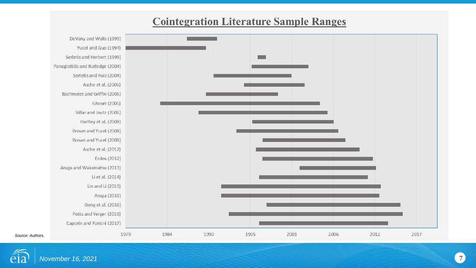### **Cointegration Literature Sample Ranges**



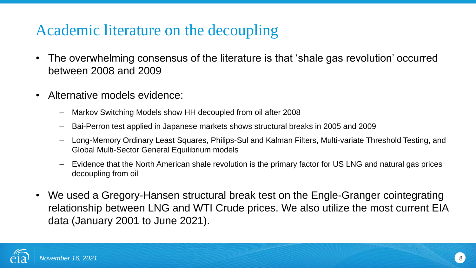### Academic literature on the decoupling

- The overwhelming consensus of the literature is that 'shale gas revolution' occurred between 2008 and 2009
- Alternative models evidence:
	- Markov Switching Models show HH decoupled from oil after 2008
	- Bai-Perron test applied in Japanese markets shows structural breaks in 2005 and 2009
	- Long-Memory Ordinary Least Squares, Philips-Sul and Kalman Filters, Multi-variate Threshold Testing, and Global Multi-Sector General Equilibrium models
	- Evidence that the North American shale revolution is the primary factor for US LNG and natural gas prices decoupling from oil
- We used a Gregory-Hansen structural break test on the Engle-Granger cointegrating relationship between LNG and WTI Crude prices. We also utilize the most current EIA data (January 2001 to June 2021).

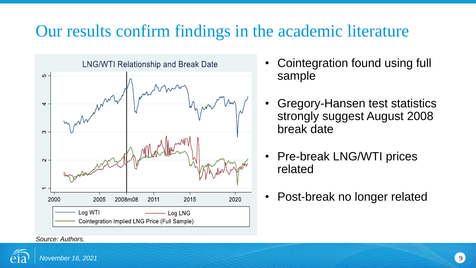# Our results confirm findings in the academic literature



- Cointegration found using full sample
- Gregory-Hansen test statistics strongly suggest August 2008 break date
- Pre-break LNG/WTI prices related
- Post-break no longer related

### *Source: Authors.*

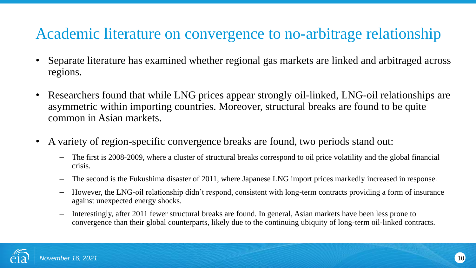## Academic literature on convergence to no-arbitrage relationship

- Separate literature has examined whether regional gas markets are linked and arbitraged across regions.
- Researchers found that while LNG prices appear strongly oil-linked, LNG-oil relationships are asymmetric within importing countries. Moreover, structural breaks are found to be quite common in Asian markets.
- A variety of region-specific convergence breaks are found, two periods stand out:
	- The first is 2008-2009, where a cluster of structural breaks correspond to oil price volatility and the global financial crisis.
	- The second is the Fukushima disaster of 2011, where Japanese LNG import prices markedly increased in response.
	- However, the LNG-oil relationship didn't respond, consistent with long-term contracts providing a form of insurance against unexpected energy shocks.
	- Interestingly, after 2011 fewer structural breaks are found. In general, Asian markets have been less prone to convergence than their global counterparts, likely due to the continuing ubiquity of long-term oil-linked contracts.

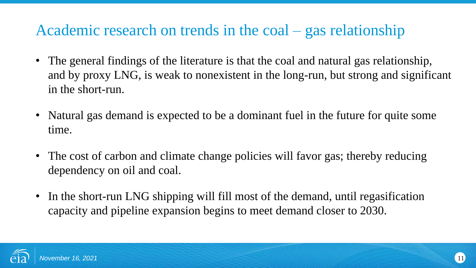### Academic research on trends in the coal – gas relationship

- The general findings of the literature is that the coal and natural gas relationship, and by proxy LNG, is weak to nonexistent in the long-run, but strong and significant in the short-run.
- Natural gas demand is expected to be a dominant fuel in the future for quite some time.
- The cost of carbon and climate change policies will favor gas; thereby reducing dependency on oil and coal.
- In the short-run LNG shipping will fill most of the demand, until regasification capacity and pipeline expansion begins to meet demand closer to 2030.